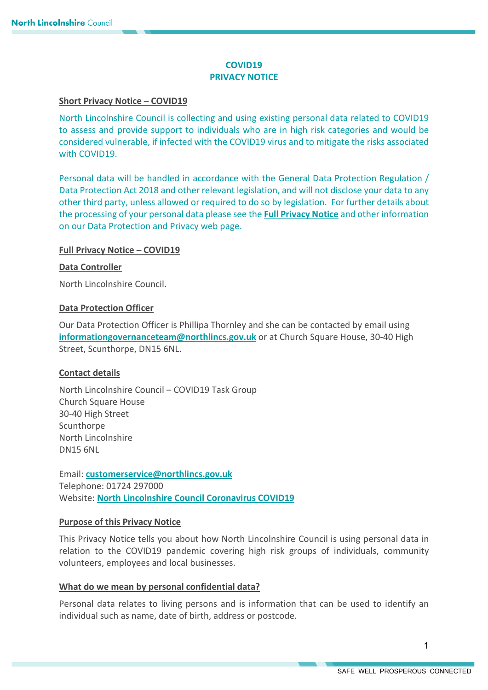# **COVID19 PRIVACY NOTICE**

## **Short Privacy Notice – COVID19**

North Lincolnshire Council is collecting and using existing personal data related to COVID19 to assess and provide support to individuals who are in high risk categories and would be considered vulnerable, if infected with the COVID19 virus and to mitigate the risks associated with COVID19.

Personal data will be handled in accordance with the General Data Protection Regulation / Data Protection Act 2018 and other relevant legislation, and will not disclose your data to any other third party, unless allowed or required to do so by legislation. For further details about the processing of your personal data please see the **[Full Privacy Notice](https://www.northlincs.gov.uk/your-council/about-your-council/information-and-performance/information-governance/data-protection-and-privacy/)** and other information on our Data Protection and Privacy web page.

# **Full Privacy Notice – COVID19**

## **Data Controller**

North Lincolnshire Council.

## **Data Protection Officer**

Our Data Protection Officer is Phillipa Thornley and she can be contacted by email using **[informationgovernanceteam@northlincs.gov.uk](mailto:informationgovernanceteam@northlincs.gov.uk)** or at Church Square House, 30-40 High Street, Scunthorpe, DN15 6NL.

# **Contact details**

North Lincolnshire Council – COVID19 Task Group Church Square House 30-40 High Street **Scunthorpe** North Lincolnshire DN15 6NL

Email: **[customerservice@northlincs.gov.uk](mailto:customerservice@northlincs.gov.uk)** Telephone: 01724 297000 Website: **[North Lincolnshire Council C](https://www.northlincs.gov.uk/people-health-and-care/coronavirus-covid-19/)oronavirus COVID19**

# **Purpose of this Privacy Notice**

This Privacy Notice tells you about how North Lincolnshire Council is using personal data in relation to the COVID19 pandemic covering high risk groups of individuals, community volunteers, employees and local businesses.

# **What do we mean by personal confidential data?**

Personal data relates to living persons and is information that can be used to identify an individual such as name, date of birth, address or postcode.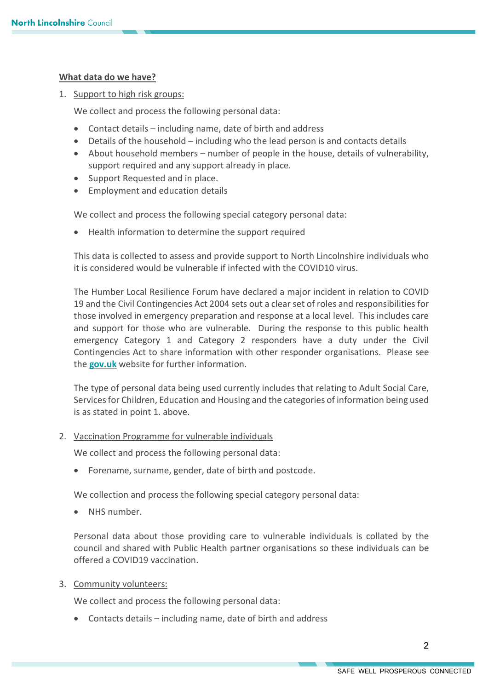## **What data do we have?**

1. Support to high risk groups:

We collect and process the following personal data:

- Contact details including name, date of birth and address
- Details of the household including who the lead person is and contacts details
- About household members number of people in the house, details of vulnerability, support required and any support already in place.
- Support Requested and in place.
- Employment and education details

We collect and process the following special category personal data:

• Health information to determine the support required

This data is collected to assess and provide support to North Lincolnshire individuals who it is considered would be vulnerable if infected with the COVID10 virus.

The Humber Local Resilience Forum have declared a major incident in relation to COVID 19 and the Civil Contingencies Act 2004 sets out a clear set of roles and responsibilities for those involved in emergency preparation and response at a local level. This includes care and support for those who are vulnerable. During the response to this public health emergency Category 1 and Category 2 responders have a duty under the Civil Contingencies Act to share information with other responder organisations. Please see the **[gov.uk](https://www.gov.uk/guidance/preparation-and-planning-for-emergencies-responsibilities-of-responder-agencies-and-others)** website for further information.

The type of personal data being used currently includes that relating to Adult Social Care, Services for Children, Education and Housing and the categories of information being used is as stated in point 1. above.

2. Vaccination Programme for vulnerable individuals

We collect and process the following personal data:

• Forename, surname, gender, date of birth and postcode.

We collection and process the following special category personal data:

• NHS number.

Personal data about those providing care to vulnerable individuals is collated by the council and shared with Public Health partner organisations so these individuals can be offered a COVID19 vaccination.

3. Community volunteers:

We collect and process the following personal data:

• Contacts details – including name, date of birth and address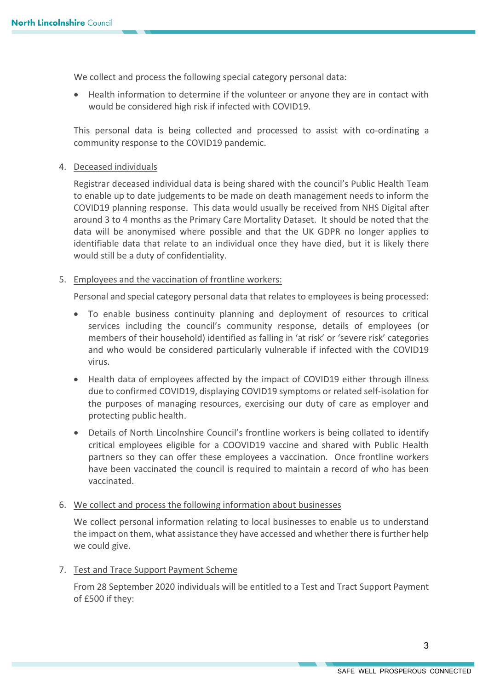We collect and process the following special category personal data:

• Health information to determine if the volunteer or anyone they are in contact with would be considered high risk if infected with COVID19.

This personal data is being collected and processed to assist with co-ordinating a community response to the COVID19 pandemic.

## 4. Deceased individuals

Registrar deceased individual data is being shared with the council's Public Health Team to enable up to date judgements to be made on death management needs to inform the COVID19 planning response. This data would usually be received from NHS Digital after around 3 to 4 months as the Primary Care Mortality Dataset. It should be noted that the data will be anonymised where possible and that the UK GDPR no longer applies to identifiable data that relate to an individual once they have died, but it is likely there would still be a duty of confidentiality.

## 5. Employees and the vaccination of frontline workers:

Personal and special category personal data that relates to employees is being processed:

- To enable business continuity planning and deployment of resources to critical services including the council's community response, details of employees (or members of their household) identified as falling in 'at risk' or 'severe risk' categories and who would be considered particularly vulnerable if infected with the COVID19 virus.
- Health data of employees affected by the impact of COVID19 either through illness due to confirmed COVID19, displaying COVID19 symptoms or related self-isolation for the purposes of managing resources, exercising our duty of care as employer and protecting public health.
- Details of North Lincolnshire Council's frontline workers is being collated to identify critical employees eligible for a COOVID19 vaccine and shared with Public Health partners so they can offer these employees a vaccination. Once frontline workers have been vaccinated the council is required to maintain a record of who has been vaccinated.

# 6. We collect and process the following information about businesses

We collect personal information relating to local businesses to enable us to understand the impact on them, what assistance they have accessed and whether there is further help we could give.

# 7. Test and Trace Support Payment Scheme

From 28 September 2020 individuals will be entitled to a Test and Tract Support Payment of £500 if they: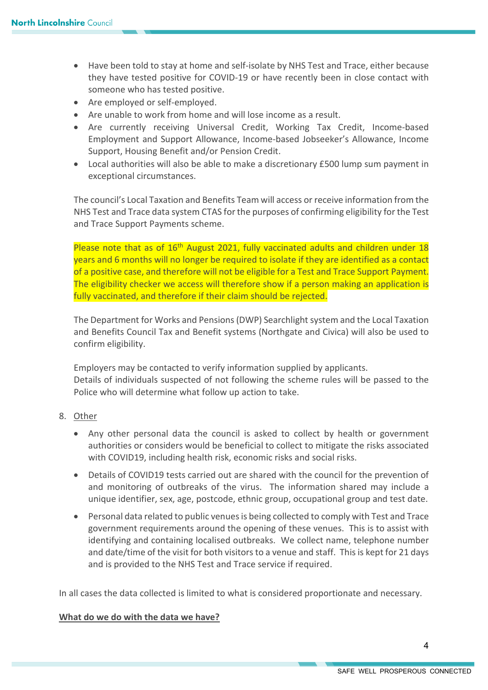- Have been told to stay at home and self-isolate by NHS Test and Trace, either because they have tested positive for COVID-19 or have recently been in close contact with someone who has tested positive.
- Are employed or self-employed.
- Are unable to work from home and will lose income as a result.
- Are currently receiving Universal Credit, Working Tax Credit, Income-based Employment and Support Allowance, Income-based Jobseeker's Allowance, Income Support, Housing Benefit and/or Pension Credit.
- Local authorities will also be able to make a discretionary £500 lump sum payment in exceptional circumstances.

The council's Local Taxation and Benefits Team will access or receive information from the NHS Test and Trace data system CTAS for the purposes of confirming eligibility for the Test and Trace Support Payments scheme.

Please note that as of 16<sup>th</sup> August 2021, fully vaccinated adults and children under 18 years and 6 months will no longer be required to isolate if they are identified as a contact of a positive case, and therefore will not be eligible for a Test and Trace Support Payment. The eligibility checker we access will therefore show if a person making an application is fully vaccinated, and therefore if their claim should be rejected.

The Department for Works and Pensions (DWP) Searchlight system and the Local Taxation and Benefits Council Tax and Benefit systems (Northgate and Civica) will also be used to confirm eligibility.

Employers may be contacted to verify information supplied by applicants. Details of individuals suspected of not following the scheme rules will be passed to the Police who will determine what follow up action to take.

- 8. Other
	- Any other personal data the council is asked to collect by health or government authorities or considers would be beneficial to collect to mitigate the risks associated with COVID19, including health risk, economic risks and social risks.
	- Details of COVID19 tests carried out are shared with the council for the prevention of and monitoring of outbreaks of the virus. The information shared may include a unique identifier, sex, age, postcode, ethnic group, occupational group and test date.
	- Personal data related to public venues is being collected to comply with Test and Trace government requirements around the opening of these venues. This is to assist with identifying and containing localised outbreaks. We collect name, telephone number and date/time of the visit for both visitors to a venue and staff. This is kept for 21 days and is provided to the NHS Test and Trace service if required.

In all cases the data collected is limited to what is considered proportionate and necessary.

# **What do we do with the data we have?**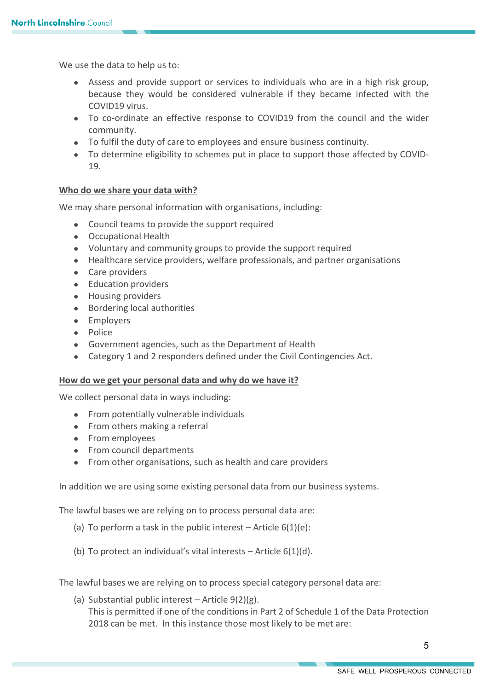We use the data to help us to:

- Assess and provide support or services to individuals who are in a high risk group, because they would be considered vulnerable if they became infected with the COVID19 virus.
- To co-ordinate an effective response to COVID19 from the council and the wider community.
- To fulfil the duty of care to employees and ensure business continuity.
- To determine eligibility to schemes put in place to support those affected by COVID-19.

## **Who do we share your data with?**

We may share personal information with organisations, including:

- Council teams to provide the support required
- Occupational Health
- Voluntary and community groups to provide the support required
- Healthcare service providers, welfare professionals, and partner organisations
- Care providers
- Education providers
- Housing providers
- Bordering local authorities
- Employers
- Police
- Government agencies, such as the Department of Health
- Category 1 and 2 responders defined under the Civil Contingencies Act.

#### **How do we get your personal data and why do we have it?**

We collect personal data in ways including:

- From potentially vulnerable individuals
- From others making a referral
- From employees
- From council departments
- From other organisations, such as health and care providers

In addition we are using some existing personal data from our business systems.

The lawful bases we are relying on to process personal data are:

- (a) To perform a task in the public interest  $-$  Article  $6(1)(e)$ :
- (b) To protect an individual's vital interests Article  $6(1)(d)$ .

The lawful bases we are relying on to process special category personal data are:

(a) Substantial public interest – Article 9(2)(g). This is permitted if one of the conditions in Part 2 of Schedule 1 of the Data Protection 2018 can be met. In this instance those most likely to be met are: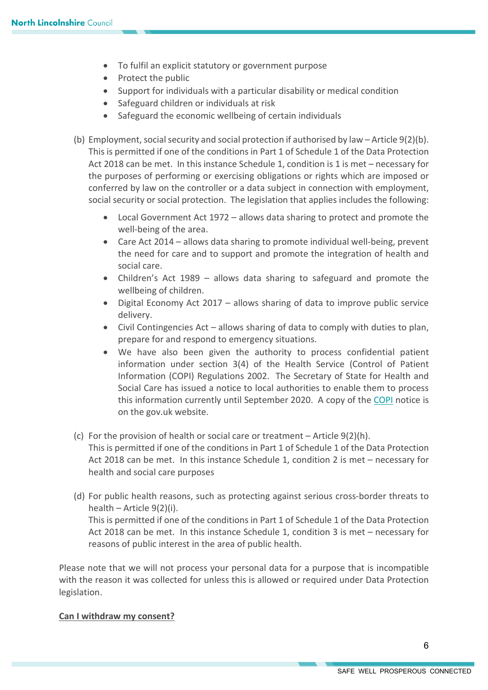- To fulfil an explicit statutory or government purpose
- Protect the public
- Support for individuals with a particular disability or medical condition
- Safeguard children or individuals at risk
- Safeguard the economic wellbeing of certain individuals
- (b) Employment, social security and social protection if authorised by law Article 9(2)(b). This is permitted if one of the conditions in Part 1 of Schedule 1 of the Data Protection Act 2018 can be met. In this instance Schedule 1, condition is 1 is met – necessary for the purposes of performing or exercising obligations or rights which are imposed or conferred by law on the controller or a data subject in connection with employment, social security or social protection. The legislation that applies includes the following:
	- Local Government Act 1972 allows data sharing to protect and promote the well-being of the area.
	- Care Act 2014 allows data sharing to promote individual well-being, prevent the need for care and to support and promote the integration of health and social care.
	- Children's Act 1989 allows data sharing to safeguard and promote the wellbeing of children.
	- Digital Economy Act 2017 allows sharing of data to improve public service delivery.
	- Civil Contingencies Act allows sharing of data to comply with duties to plan, prepare for and respond to emergency situations.
	- We have also been given the authority to process confidential patient information under section 3(4) of the Health Service (Control of Patient Information (COPI) Regulations 2002. The Secretary of State for Health and Social Care has issued a notice to local authorities to enable them to process this information currently until September 2020. A copy of the [COPI](https://www.gov.uk/government/publications/coronavirus-covid-19-notification-of-data-controllers-to-share-information) notice is on the gov.uk website.
- (c) For the provision of health or social care or treatment Article 9(2)(h). This is permitted if one of the conditions in Part 1 of Schedule 1 of the Data Protection Act 2018 can be met. In this instance Schedule 1, condition 2 is met – necessary for health and social care purposes
- (d) For public health reasons, such as protecting against serious cross-border threats to health – Article 9(2)(i).

This is permitted if one of the conditions in Part 1 of Schedule 1 of the Data Protection Act 2018 can be met. In this instance Schedule 1, condition 3 is met – necessary for reasons of public interest in the area of public health.

Please note that we will not process your personal data for a purpose that is incompatible with the reason it was collected for unless this is allowed or required under Data Protection legislation.

# **Can I withdraw my consent?**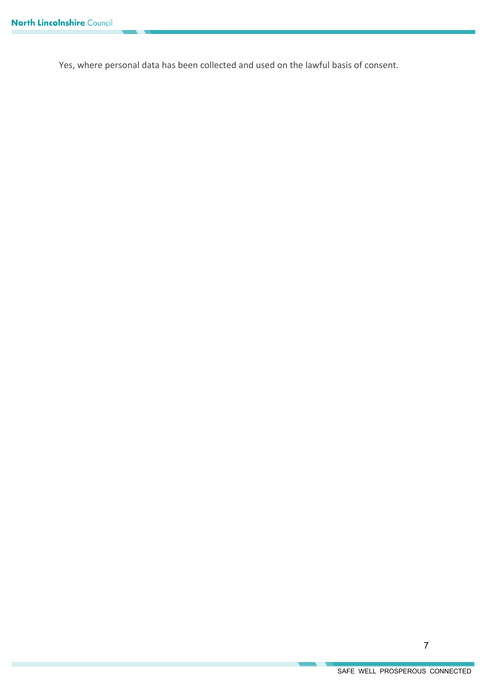Yes, where personal data has been collected and used on the lawful basis of consent.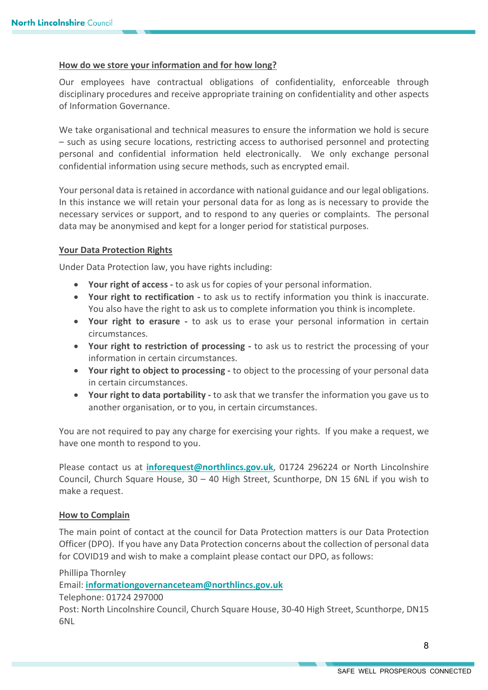### **How do we store your information and for how long?**

Our employees have contractual obligations of confidentiality, enforceable through disciplinary procedures and receive appropriate training on confidentiality and other aspects of Information Governance.

We take organisational and technical measures to ensure the information we hold is secure – such as using secure locations, restricting access to authorised personnel and protecting personal and confidential information held electronically. We only exchange personal confidential information using secure methods, such as encrypted email.

Your personal data is retained in accordance with national guidance and our legal obligations. In this instance we will retain your personal data for as long as is necessary to provide the necessary services or support, and to respond to any queries or complaints. The personal data may be anonymised and kept for a longer period for statistical purposes.

#### **Your Data Protection Rights**

Under Data Protection law, you have rights including:

- **Your right of access -** to ask us for copies of your personal information.
- **Your right to rectification -** to ask us to rectify information you think is inaccurate. You also have the right to ask us to complete information you think is incomplete.
- **Your right to erasure -** to ask us to erase your personal information in certain circumstances.
- **Your right to restriction of processing -** to ask us to restrict the processing of your information in certain circumstances.
- **Your right to object to processing -** to object to the processing of your personal data in certain circumstances.
- **Your right to data portability -** to ask that we transfer the information you gave us to another organisation, or to you, in certain circumstances.

You are not required to pay any charge for exercising your rights. If you make a request, we have one month to respond to you.

Please contact us at **[inforequest@northlincs.gov.uk](mailto:inforequest@northlincs.gov.uk)**, 01724 296224 or North Lincolnshire Council, Church Square House, 30 – 40 High Street, Scunthorpe, DN 15 6NL if you wish to make a request.

#### **How to Complain**

The main point of contact at the council for Data Protection matters is our Data Protection Officer (DPO). If you have any Data Protection concerns about the collection of personal data for COVID19 and wish to make a complaint please contact our DPO, as follows:

Phillipa Thornley

Email: **[informationgovernanceteam@northlincs.gov.uk](mailto:informationgovernanceteam@northlincs.gov.uk)**

Telephone: 01724 297000

Post: North Lincolnshire Council, Church Square House, 30-40 High Street, Scunthorpe, DN15 6NL